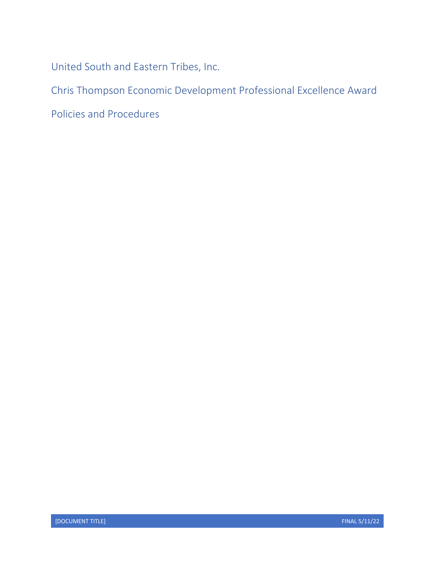United South and Eastern Tribes, Inc.

Chris Thompson Economic Development Professional Excellence Award

Policies and Procedures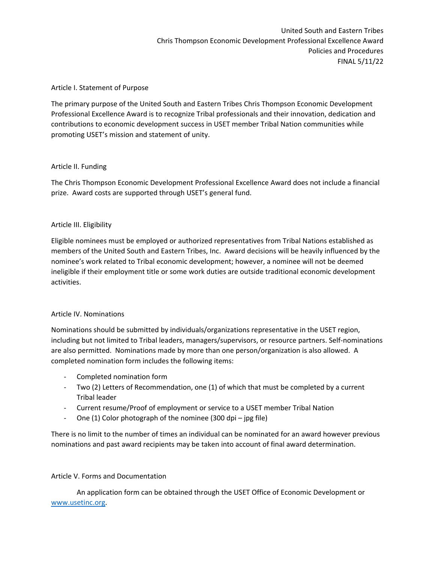## Article I. Statement of Purpose

The primary purpose of the United South and Eastern Tribes Chris Thompson Economic Development Professional Excellence Award is to recognize Tribal professionals and their innovation, dedication and contributions to economic development success in USET member Tribal Nation communities while promoting USET's mission and statement of unity.

## Article II. Funding

The Chris Thompson Economic Development Professional Excellence Award does not include a financial prize. Award costs are supported through USET's general fund.

## Article III. Eligibility

Eligible nominees must be employed or authorized representatives from Tribal Nations established as members of the United South and Eastern Tribes, Inc. Award decisions will be heavily influenced by the nominee's work related to Tribal economic development; however, a nominee will not be deemed ineligible if their employment title or some work duties are outside traditional economic development activities.

#### Article IV. Nominations

Nominations should be submitted by individuals/organizations representative in the USET region, including but not limited to Tribal leaders, managers/supervisors, or resource partners. Self-nominations are also permitted. Nominations made by more than one person/organization is also allowed. A completed nomination form includes the following items:

- ‐ Completed nomination form
- ‐ Two (2) Letters of Recommendation, one (1) of which that must be completed by a current Tribal leader
- ‐ Current resume/Proof of employment or service to a USET member Tribal Nation
- ‐ One (1) Color photograph of the nominee (300 dpi jpg file)

There is no limit to the number of times an individual can be nominated for an award however previous nominations and past award recipients may be taken into account of final award determination.

# Article V. Forms and Documentation

An application form can be obtained through the USET Office of Economic Development or www.usetinc.org.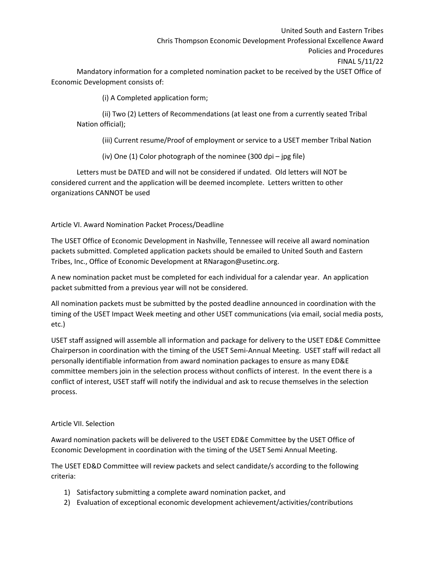United South and Eastern Tribes Chris Thompson Economic Development Professional Excellence Award Policies and Procedures FINAL 5/11/22

Mandatory information for a completed nomination packet to be received by the USET Office of Economic Development consists of:

(i) A Completed application form;

(ii) Two (2) Letters of Recommendations (at least one from a currently seated Tribal Nation official);

(iii) Current resume/Proof of employment or service to a USET member Tribal Nation

(iv) One (1) Color photograph of the nominee (300 dpi – jpg file)

Letters must be DATED and will not be considered if undated. Old letters will NOT be considered current and the application will be deemed incomplete. Letters written to other organizations CANNOT be used

Article VI. Award Nomination Packet Process/Deadline

The USET Office of Economic Development in Nashville, Tennessee will receive all award nomination packets submitted. Completed application packets should be emailed to United South and Eastern Tribes, Inc., Office of Economic Development at RNaragon@usetinc.org.

A new nomination packet must be completed for each individual for a calendar year. An application packet submitted from a previous year will not be considered.

All nomination packets must be submitted by the posted deadline announced in coordination with the timing of the USET Impact Week meeting and other USET communications (via email, social media posts, etc.)

USET staff assigned will assemble all information and package for delivery to the USET ED&E Committee Chairperson in coordination with the timing of the USET Semi‐Annual Meeting. USET staff will redact all personally identifiable information from award nomination packages to ensure as many ED&E committee members join in the selection process without conflicts of interest. In the event there is a conflict of interest, USET staff will notify the individual and ask to recuse themselves in the selection process.

# Article VII. Selection

Award nomination packets will be delivered to the USET ED&E Committee by the USET Office of Economic Development in coordination with the timing of the USET Semi Annual Meeting.

The USET ED&D Committee will review packets and select candidate/s according to the following criteria:

- 1) Satisfactory submitting a complete award nomination packet, and
- 2) Evaluation of exceptional economic development achievement/activities/contributions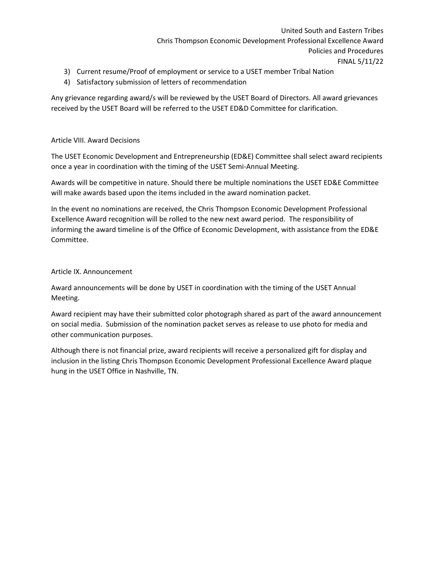- 3) Current resume/Proof of employment or service to a USET member Tribal Nation
- 4) Satisfactory submission of letters of recommendation

Any grievance regarding award/s will be reviewed by the USET Board of Directors. All award grievances received by the USET Board will be referred to the USET ED&D Committee for clarification.

## Article VIII. Award Decisions

The USET Economic Development and Entrepreneurship (ED&E) Committee shall select award recipients once a year in coordination with the timing of the USET Semi‐Annual Meeting.

Awards will be competitive in nature. Should there be multiple nominations the USET ED&E Committee will make awards based upon the items included in the award nomination packet.

In the event no nominations are received, the Chris Thompson Economic Development Professional Excellence Award recognition will be rolled to the new next award period. The responsibility of informing the award timeline is of the Office of Economic Development, with assistance from the ED&E Committee.

## Article IX. Announcement

Award announcements will be done by USET in coordination with the timing of the USET Annual Meeting.

Award recipient may have their submitted color photograph shared as part of the award announcement on social media. Submission of the nomination packet serves as release to use photo for media and other communication purposes.

Although there is not financial prize, award recipients will receive a personalized gift for display and inclusion in the listing Chris Thompson Economic Development Professional Excellence Award plaque hung in the USET Office in Nashville, TN.